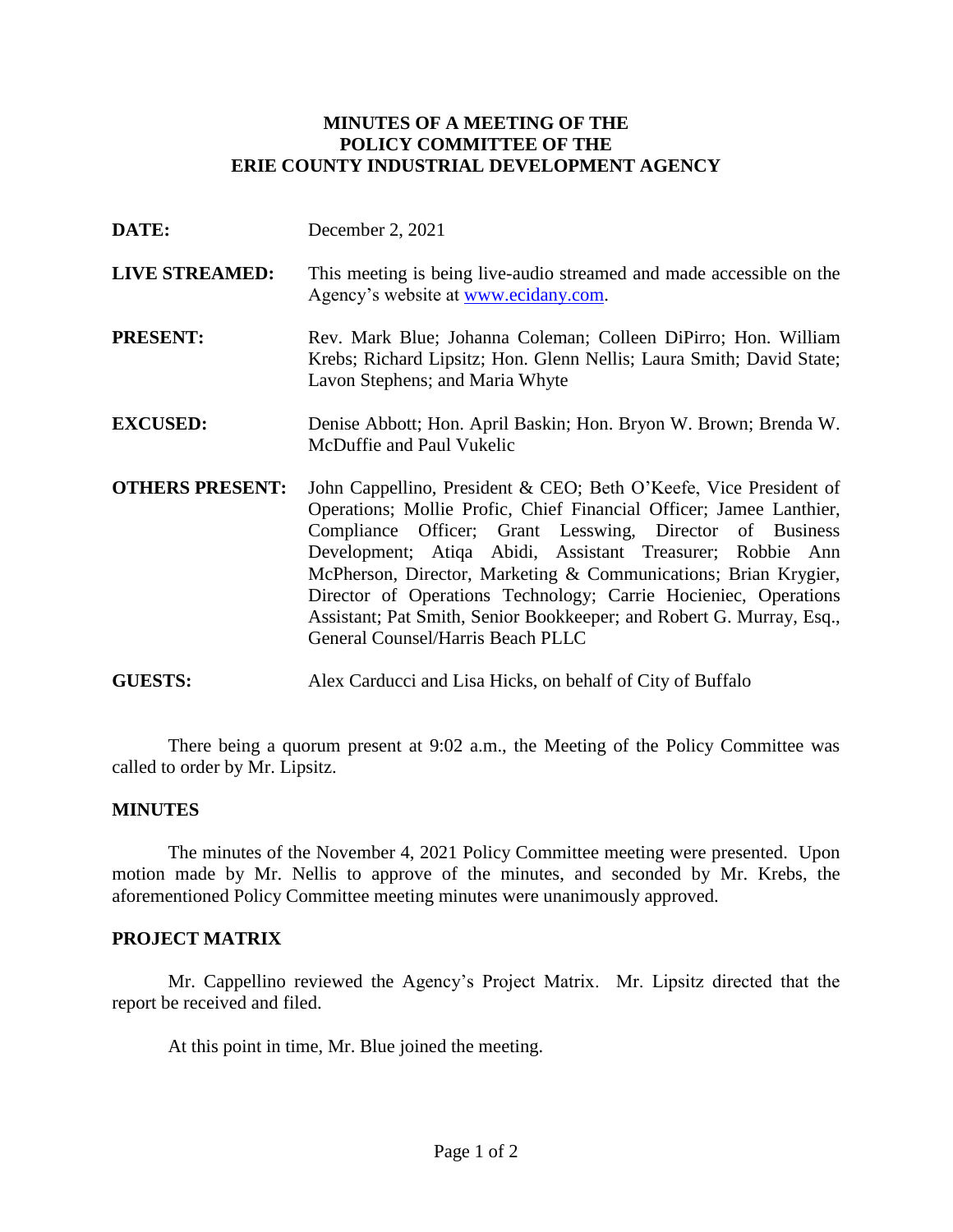# **MINUTES OF A MEETING OF THE POLICY COMMITTEE OF THE ERIE COUNTY INDUSTRIAL DEVELOPMENT AGENCY**

- **DATE:** December 2, 2021
- **LIVE STREAMED:** This meeting is being live-audio streamed and made accessible on the Agency's website at [www.ecidany.com.](http://www.ecidany.com/)
- **PRESENT:** Rev. Mark Blue; Johanna Coleman; Colleen DiPirro; Hon. William Krebs; Richard Lipsitz; Hon. Glenn Nellis; Laura Smith; David State; Lavon Stephens; and Maria Whyte
- **EXCUSED:** Denise Abbott; Hon. April Baskin; Hon. Bryon W. Brown; Brenda W. McDuffie and Paul Vukelic
- **OTHERS PRESENT:** John Cappellino, President & CEO; Beth O'Keefe, Vice President of Operations; Mollie Profic, Chief Financial Officer; Jamee Lanthier, Compliance Officer; Grant Lesswing, Director of Business Development; Atiqa Abidi, Assistant Treasurer; Robbie Ann McPherson, Director, Marketing & Communications; Brian Krygier, Director of Operations Technology; Carrie Hocieniec, Operations Assistant; Pat Smith, Senior Bookkeeper; and Robert G. Murray, Esq., General Counsel/Harris Beach PLLC
- **GUESTS:** Alex Carducci and Lisa Hicks, on behalf of City of Buffalo

There being a quorum present at 9:02 a.m., the Meeting of the Policy Committee was called to order by Mr. Lipsitz.

## **MINUTES**

The minutes of the November 4, 2021 Policy Committee meeting were presented. Upon motion made by Mr. Nellis to approve of the minutes, and seconded by Mr. Krebs, the aforementioned Policy Committee meeting minutes were unanimously approved.

## **PROJECT MATRIX**

Mr. Cappellino reviewed the Agency's Project Matrix. Mr. Lipsitz directed that the report be received and filed.

At this point in time, Mr. Blue joined the meeting.